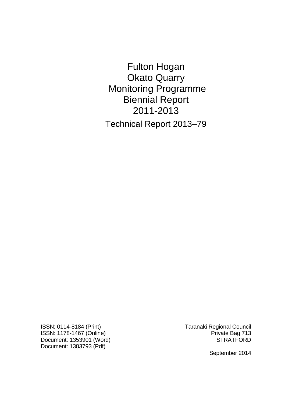Fulton Hogan Okato Quarry Monitoring Programme Biennial Report 2011-2013 Technical Report 2013–79

ISSN: 0114-8184 (Print) Taranaki Regional Council ISSN: 1178-1467 (Online)<br>Document: 1353901 (Word) Private Bag 713 Document:  $1353901$  (Word) Document: 1383793 (Pdf)

September 2014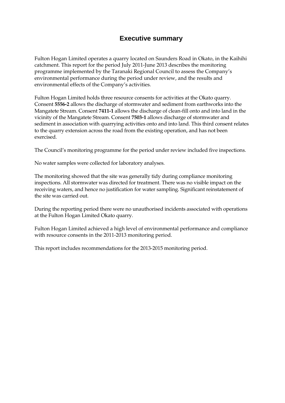## **Executive summary**

Fulton Hogan Limited operates a quarry located on Saunders Road in Okato, in the Kaihihi catchment. This report for the period July 2011-June 2013 describes the monitoring programme implemented by the Taranaki Regional Council to assess the Company's environmental performance during the period under review, and the results and environmental effects of the Company's activities.

Fulton Hogan Limited holds three resource consents for activities at the Okato quarry. Consent **5556-2** allows the discharge of stormwater and sediment from earthworks into the Mangatete Stream. Consent **7411-1** allows the discharge of clean-fill onto and into land in the vicinity of the Mangatete Stream. Consent **7503-1** allows discharge of stormwater and sediment in association with quarrying activities onto and into land. This third consent relates to the quarry extension across the road from the existing operation, and has not been exercised.

The Council's monitoring programme for the period under review included five inspections.

No water samples were collected for laboratory analyses.

The monitoring showed that the site was generally tidy during compliance monitoring inspections. All stormwater was directed for treatment. There was no visible impact on the receiving waters, and hence no justification for water sampling. Significant reinstatement of the site was carried out.

During the reporting period there were no unauthorised incidents associated with operations at the Fulton Hogan Limited Okato quarry.

Fulton Hogan Limited achieved a high level of environmental performance and compliance with resource consents in the 2011-2013 monitoring period.

This report includes recommendations for the 2013-2015 monitoring period.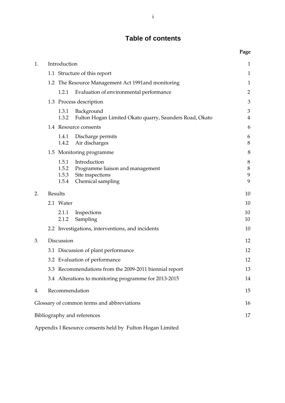## **Table of contents**

|    |                                                        |                         |                                                                                                 | Page                            |
|----|--------------------------------------------------------|-------------------------|-------------------------------------------------------------------------------------------------|---------------------------------|
| 1. |                                                        | Introduction            |                                                                                                 | $\mathbf{1}$                    |
|    | 1.1 Structure of this report                           |                         |                                                                                                 | $\mathbf{1}$                    |
|    |                                                        |                         | 1.2 The Resource Management Act 1991and monitoring                                              | $\mathbf{1}$                    |
|    |                                                        | 1.2.1                   | Evaluation of environmental performance                                                         | $\overline{2}$                  |
|    | 1.3 Process description                                |                         | 3                                                                                               |                                 |
|    |                                                        | 1.3.1<br>1.3.2          | Background<br>Fulton Hogan Limited Okato quarry, Saunders Road, Okato                           | 3<br>4                          |
|    |                                                        |                         | 1.4 Resource consents                                                                           | 6                               |
|    |                                                        | 1.4.1<br>1.4.2          | Discharge permits<br>Air discharges                                                             | 6<br>8                          |
|    | 1.5                                                    |                         | Monitoring programme                                                                            | 8                               |
|    |                                                        | 1.5.1<br>1.5.3<br>1.5.4 | Introduction<br>1.5.2 Programme liaison and management<br>Site inspections<br>Chemical sampling | 8<br>$\boldsymbol{8}$<br>9<br>9 |
| 2. |                                                        | Results                 |                                                                                                 | 10                              |
|    |                                                        | 2.1 Water               |                                                                                                 | 10                              |
|    |                                                        | 2.1.1<br>2.1.2          | Inspections<br>Sampling                                                                         | 10<br>10                        |
|    |                                                        |                         | 2.2 Investigations, interventions, and incidents                                                | 10                              |
| 3. | Discussion                                             |                         |                                                                                                 | 12                              |
|    | 3.1 Discussion of plant performance                    |                         |                                                                                                 | 12                              |
|    | 3.2 Evaluation of performance                          |                         |                                                                                                 | 12                              |
|    | 3.3 Recommendations from the 2009-2011 biennial report |                         |                                                                                                 | 13                              |
|    | 3.4 Alterations to monitoring programme for 2013-2015  |                         |                                                                                                 | 14                              |
| 4. | Recommendation                                         |                         | 15                                                                                              |                                 |
|    |                                                        |                         | Glossary of common terms and abbreviations                                                      | 16                              |
|    |                                                        |                         | Bibliography and references                                                                     | 17                              |
|    |                                                        |                         | Appendix I Resource consents held by Fulton Hogan Limited                                       |                                 |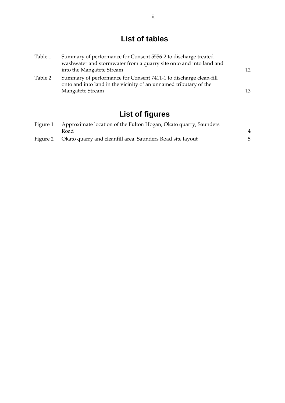# **List of tables**

| Table 1 | Summary of performance for Consent 5556-2 to discharge treated                                                                         |    |
|---------|----------------------------------------------------------------------------------------------------------------------------------------|----|
|         | washwater and stormwater from a quarry site onto and into land and                                                                     |    |
|         | into the Mangatete Stream                                                                                                              | 12 |
| Table 2 | Summary of performance for Consent 7411-1 to discharge clean-fill<br>onto and into land in the vicinity of an unnamed tributary of the |    |
|         | Mangatete Stream                                                                                                                       | 13 |

# **List of figures**

| Figure 1 Approximate location of the Fulton Hogan, Okato quarry, Saunders |  |
|---------------------------------------------------------------------------|--|
| Road                                                                      |  |
| Figure 2 Okato quarry and cleanfill area, Saunders Road site layout       |  |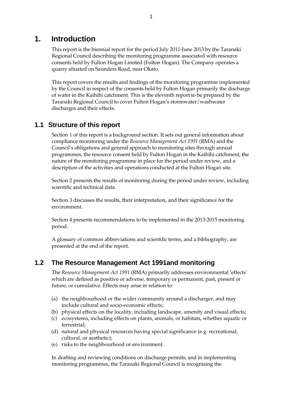## **1. Introduction**

This report is the biennial report for the period July 2011-June 2013 by the Taranaki Regional Council describing the monitoring programme associated with resource consents held by Fulton Hogan Limited (Fulton Hogan). The Company operates a quarry situated on Saunders Road, near Okato.

This report covers the results and findings of the monitoring programme implemented by the Council in respect of the consents held by Fulton Hogan primarily the discharge of water in the Kaihihi catchment. This is the eleventh report to be prepared by the Taranaki Regional Council to cover Fulton Hogan's stormwater/washwater discharges and their effects.

## **1.1 Structure of this report**

Section 1 of this report is a background section. It sets out general information about compliance monitoring under the *Resource Management Act 1991* (RMA) and the Council's obligations and general approach to monitoring sites through annual programmes, the resource consent held by Fulton Hogan in the Kaihihi catchment, the nature of the monitoring programme in place for the period under review, and a description of the activities and operations conducted at the Fulton Hogan site.

Section 2 presents the results of monitoring during the period under review, including scientific and technical data.

Section 3 discusses the results, their interpretation, and their significance for the environment.

Section 4 presents recommendations to be implemented in the 2013-2015 monitoring period.

A glossary of common abbreviations and scientific terms, and a bibliography, are presented at the end of the report.

## **1.2 The Resource Management Act 1991and monitoring**

The *Resource Management Act 1991* (RMA) primarily addresses environmental 'effects' which are defined as positive or adverse, temporary or permanent, past, present or future, or cumulative. Effects may arise in relation to:

- (a) the neighbourhood or the wider community around a discharger, and may include cultural and socio-economic effects;
- (b) physical effects on the locality, including landscape, amenity and visual effects;
- (c) ecosystems, including effects on plants, animals, or habitats, whether aquatic or terrestrial;
- (d) natural and physical resources having special significance (e.g. recreational, cultural, or aesthetic);
- (e) risks to the neighbourhood or environment.

In drafting and reviewing conditions on discharge permits, and in implementing monitoring programmes, the Taranaki Regional Council is recognising the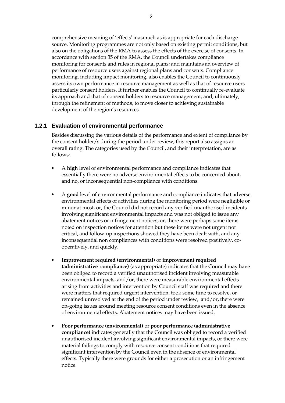comprehensive meaning of 'effects' inasmuch as is appropriate for each discharge source. Monitoring programmes are not only based on existing permit conditions, but also on the obligations of the RMA to assess the effects of the exercise of consents. In accordance with section 35 of the RMA, the Council undertakes compliance monitoring for consents and rules in regional plans; and maintains an overview of performance of resource users against regional plans and consents. Compliance monitoring, including impact monitoring, also enables the Council to continuously assess its own performance in resource management as well as that of resource users particularly consent holders. It further enables the Council to continually re-evaluate its approach and that of consent holders to resource management, and, ultimately, through the refinement of methods, to move closer to achieving sustainable development of the region's resources.

#### **1.2.1 Evaluation of environmental performance**

Besides discussing the various details of the performance and extent of compliance by the consent holder/s during the period under review, this report also assigns an overall rating. The categories used by the Council, and their interpretation, are as follows:

- A **high** level of environmental performance and compliance indicates that essentially there were no adverse environmental effects to be concerned about, and no, or inconsequential non-compliance with conditions.
- A **good** level of environmental performance and compliance indicates that adverse environmental effects of activities during the monitoring period were negligible or minor at most, or, the Council did not record any verified unauthorised incidents involving significant environmental impacts and was not obliged to issue any abatement notices or infringement notices, or, there were perhaps some items noted on inspection notices for attention but these items were not urgent nor critical, and follow-up inspections showed they have been dealt with, and any inconsequential non compliances with conditions were resolved positively, cooperatively, and quickly.
- **Improvement required (environmental)** or **improvement required (administrative compliance)** (as appropriate) indicates that the Council may have been obliged to record a verified unauthorised incident involving measurable environmental impacts, and/or, there were measurable environmental effects arising from activities and intervention by Council staff was required and there were matters that required urgent intervention, took some time to resolve, or remained unresolved at the end of the period under review, and/or, there were on-going issues around meeting resource consent conditions even in the absence of environmental effects. Abatement notices may have been issued.
- **Poor performance (environmental)** or **poor performance (administrative compliance)** indicates generally that the Council was obliged to record a verified unauthorised incident involving significant environmental impacts, or there were material failings to comply with resource consent conditions that required significant intervention by the Council even in the absence of environmental effects. Typically there were grounds for either a prosecution or an infringement notice.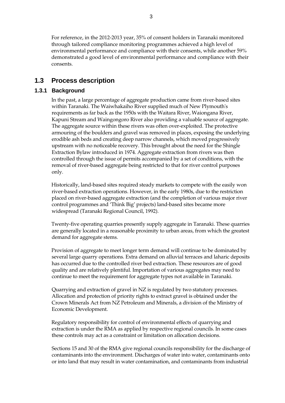For reference, in the 2012-2013 year, 35% of consent holders in Taranaki monitored through tailored compliance monitoring programmes achieved a high level of environmental performance and compliance with their consents, while another 59% demonstrated a good level of environmental performance and compliance with their consents.

## **1.3 Process description**

#### **1.3.1 Background**

 In the past, a large percentage of aggregate production came from river-based sites within Taranaki. The Waiwhakaiho River supplied much of New Plymouth's requirements as far back as the 1950s with the Waitara River, Waiongana River, Kapuni Stream and Waingongoro River also providing a valuable source of aggregate. The aggregate source within these rivers was often over-exploited. The protective armouring of the boulders and gravel was removed in places, exposing the underlying erodible ash beds and creating deep narrow channels, which moved progressively upstream with no noticeable recovery. This brought about the need for the Shingle Extraction Bylaw introduced in 1974. Aggregate extraction from rivers was then controlled through the issue of permits accompanied by a set of conditions, with the removal of river-based aggregate being restricted to that for river control purposes only.

 Historically, land-based sites required steady markets to compete with the easily won river-based extraction operations. However, in the early 1980s, due to the restriction placed on river-based aggregate extraction (and the completion of various major river control programmes and 'Think Big' projects) land-based sites became more widespread (Taranaki Regional Council, 1992).

 Twenty-five operating quarries presently supply aggregate in Taranaki. These quarries are generally located in a reasonable proximity to urban areas, from which the greatest demand for aggregate stems.

 Provision of aggregate to meet longer term demand will continue to be dominated by several large quarry operations. Extra demand on alluvial terraces and laharic deposits has occurred due to the controlled river bed extraction. These resources are of good quality and are relatively plentiful. Importation of various aggregates may need to continue to meet the requirement for aggregate types not available in Taranaki.

 Quarrying and extraction of gravel in NZ is regulated by two statutory processes. Allocation and protection of priority rights to extract gravel is obtained under the Crown Minerals Act from NZ Petroleum and Minerals, a division of the Ministry of Economic Development.

Regulatory responsibility for control of environmental effects of quarrying and extraction is under the RMA as applied by respective regional councils. In some cases these controls may act as a constraint or limitation on allocation decisions.

 Sections 15 and 30 of the RMA give regional councils responsibility for the discharge of contaminants into the environment. Discharges of water into water, contaminants onto or into land that may result in water contamination, and contaminants from industrial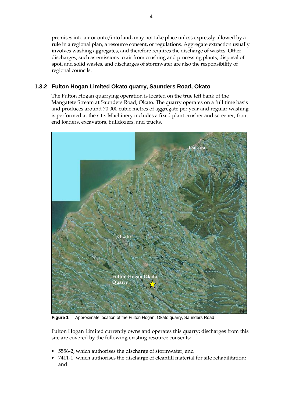premises into air or onto/into land, may not take place unless expressly allowed by a rule in a regional plan, a resource consent, or regulations. Aggregate extraction usually involves washing aggregates, and therefore requires the discharge of wastes. Other discharges, such as emissions to air from crushing and processing plants, disposal of spoil and solid wastes, and discharges of stormwater are also the responsibility of regional councils.

### **1.3.2 Fulton Hogan Limited Okato quarry, Saunders Road, Okato**

The Fulton Hogan quarrying operation is located on the true left bank of the Mangatete Stream at Saunders Road, Okato. The quarry operates on a full time basis and produces around 70 000 cubic metres of aggregate per year and regular washing is performed at the site. Machinery includes a fixed plant crusher and screener, front end loaders, excavators, bulldozers, and trucks.



**Figure 1** Approximate location of the Fulton Hogan, Okato quarry, Saunders Road

Fulton Hogan Limited currently owns and operates this quarry; discharges from this site are covered by the following existing resource consents:

- 5556-2, which authorises the discharge of stormwater; and
- 7411-1, which authorises the discharge of cleanfill material for site rehabilitation; and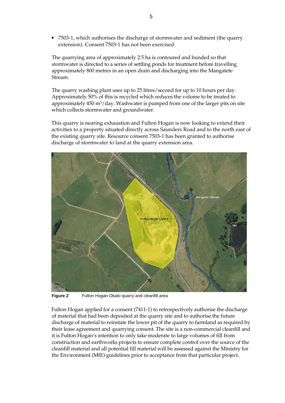• 7503-1, which authorises the discharge of stormwater and sediment (the quarry extension). Consent 7503-1 has not been exercised.

The quarrying area of approximately 2.5 ha is contoured and bunded so that stormwater is directed to a series of settling ponds for treatment before travelling approximately 800 metres in an open drain and discharging into the Mangatete Stream.

The quarry washing plant uses up to 25 litres/second for up to 10 hours per day. Approximately 50% of this is recycled which reduces the volume to be treated to approximately 450 m3/day. Washwater is pumped from one of the larger pits on site which collects stormwater and groundwater.

This quarry is nearing exhaustion and Fulton Hogan is now looking to extend their activities to a property situated directly across Saunders Road and to the north east of the existing quarry site. Resource consent 7503-1 has been granted to authorise discharge of stormwater to land at the quarry extension area.



**Figure 2** Fulton Hogan Okato quarry and cleanfill area

 Fulton Hogan applied for a consent (7411-1) to retrospectively authorise the discharge of material that had been deposited at the quarry site and to authorise the future discharge of material to reinstate the lower pit of the quarry to farmland as required by their lease agreement and quarrying consent. The site is a non-commercial cleanfill and it is Fulton Hogan's intention to only take moderate to large volumes of fill from construction and earthworks projects to ensure complete control over the source of the cleanfill material and all potential fill material will be assessed against the Ministry for the Environment (MfE) guidelines prior to acceptance from that particular project.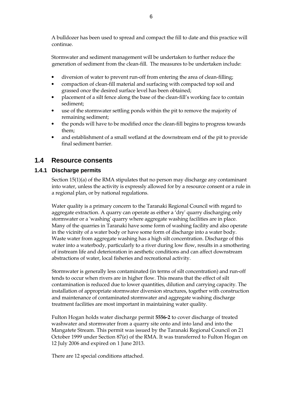A bulldozer has been used to spread and compact the fill to date and this practice will continue.

 Stormwater and sediment management will be undertaken to further reduce the generation of sediment from the clean-fill. The measures to be undertaken include:

- diversion of water to prevent run-off from entering the area of clean-filling;
- compaction of clean-fill material and surfacing with compacted top soil and grassed once the desired surface level has been obtained;
- placement of a silt fence along the base of the clean-fill's working face to contain sediment;
- use of the stormwater settling ponds within the pit to remove the majority of remaining sediment;
- the ponds will have to be modified once the clean-fill begins to progress towards them;
- and establishment of a small wetland at the downstream end of the pit to provide final sediment barrier.

## **1.4 Resource consents**

#### **1.4.1 Discharge permits**

Section 15(1)(a) of the RMA stipulates that no person may discharge any contaminant into water, unless the activity is expressly allowed for by a resource consent or a rule in a regional plan, or by national regulations.

 Water quality is a primary concern to the Taranaki Regional Council with regard to aggregate extraction. A quarry can operate as either a 'dry' quarry discharging only stormwater or a 'washing' quarry where aggregate washing facilities are in place. Many of the quarries in Taranaki have some form of washing facility and also operate in the vicinity of a water body or have some form of discharge into a water body. Waste water from aggregate washing has a high silt concentration. Discharge of this water into a waterbody, particularly to a river during low flow, results in a smothering of instream life and deterioration in aesthetic conditions and can affect downstream abstractions of water, local fisheries and recreational activity.

Stormwater is generally less contaminated (in terms of silt concentration) and run-off tends to occur when rivers are in higher flow. This means that the effect of silt contamination is reduced due to lower quantities, dilution and carrying capacity. The installation of appropriate stormwater diversion structures, together with construction and maintenance of contaminated stormwater and aggregate washing discharge treatment facilities are most important in maintaining water quality.

Fulton Hogan holds water discharge permit **5556-2** to cover discharge of treated washwater and stormwater from a quarry site onto and into land and into the Mangatete Stream. This permit was issued by the Taranaki Regional Council on 21 October 1999 under Section 87(e) of the RMA. It was transferred to Fulton Hogan on 12 July 2006 and expired on 1 June 2013.

There are 12 special conditions attached.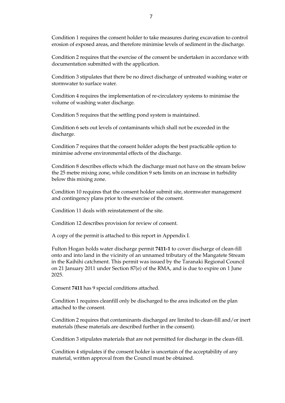Condition 1 requires the consent holder to take measures during excavation to control erosion of exposed areas, and therefore minimise levels of sediment in the discharge.

Condition 2 requires that the exercise of the consent be undertaken in accordance with documentation submitted with the application.

Condition 3 stipulates that there be no direct discharge of untreated washing water or stormwater to surface water.

Condition 4 requires the implementation of re-circulatory systems to minimise the volume of washing water discharge.

Condition 5 requires that the settling pond system is maintained.

Condition 6 sets out levels of contaminants which shall not be exceeded in the discharge.

Condition 7 requires that the consent holder adopts the best practicable option to minimise adverse environmental effects of the discharge.

Condition 8 describes effects which the discharge must not have on the stream below the 25 metre mixing zone, while condition 9 sets limits on an increase in turbidity below this mixing zone.

Condition 10 requires that the consent holder submit site, stormwater management and contingency plans prior to the exercise of the consent.

Condition 11 deals with reinstatement of the site.

Condition 12 describes provision for review of consent.

A copy of the permit is attached to this report in Appendix I.

Fulton Hogan holds water discharge permit **7411-1** to cover discharge of clean-fill onto and into land in the vicinity of an unnamed tributary of the Mangatete Stream in the Kaihihi catchment. This permit was issued by the Taranaki Regional Council on 21 January 2011 under Section 87(e) of the RMA, and is due to expire on 1 June 2025.

Consent **7411** has 9 special conditions attached.

Condition 1 requires cleanfill only be discharged to the area indicated on the plan attached to the consent.

Condition 2 requires that contaminants discharged are limited to clean-fill and/or inert materials (these materials are described further in the consent).

Condition 3 stipulates materials that are not permitted for discharge in the clean-fill.

Condition 4 stipulates if the consent holder is uncertain of the acceptability of any material, written approval from the Council must be obtained.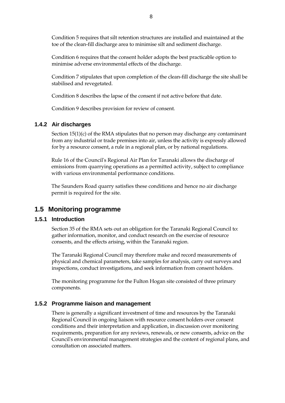Condition 5 requires that silt retention structures are installed and maintained at the toe of the clean-fill discharge area to minimise silt and sediment discharge.

Condition 6 requires that the consent holder adopts the best practicable option to minimise adverse environmental effects of the discharge.

Condition 7 stipulates that upon completion of the clean-fill discharge the site shall be stabilised and revegetated.

Condition 8 describes the lapse of the consent if not active before that date.

Condition 9 describes provision for review of consent.

#### **1.4.2 Air discharges**

Section  $15(1)(c)$  of the RMA stipulates that no person may discharge any contaminant from any industrial or trade premises into air, unless the activity is expressly allowed for by a resource consent, a rule in a regional plan, or by national regulations.

Rule 16 of the Council's Regional Air Plan for Taranaki allows the discharge of emissions from quarrying operations as a permitted activity, subject to compliance with various environmental performance conditions.

The Saunders Road quarry satisfies these conditions and hence no air discharge permit is required for the site.

### **1.5 Monitoring programme**

#### **1.5.1 Introduction**

Section 35 of the RMA sets out an obligation for the Taranaki Regional Council to: gather information, monitor, and conduct research on the exercise of resource consents, and the effects arising, within the Taranaki region.

The Taranaki Regional Council may therefore make and record measurements of physical and chemical parameters, take samples for analysis, carry out surveys and inspections, conduct investigations, and seek information from consent holders.

The monitoring programme for the Fulton Hogan site consisted of three primary components.

#### **1.5.2 Programme liaison and management**

There is generally a significant investment of time and resources by the Taranaki Regional Council in ongoing liaison with resource consent holders over consent conditions and their interpretation and application, in discussion over monitoring requirements, preparation for any reviews, renewals, or new consents, advice on the Council's environmental management strategies and the content of regional plans, and consultation on associated matters.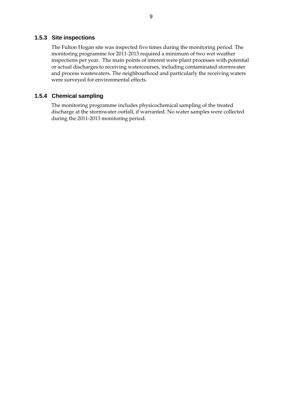#### **1.5.3 Site inspections**

The Fulton Hogan site was inspected five times during the monitoring period. The monitoring programme for 2011-2013 required a minimum of two wet weather inspections per year. The main points of interest were plant processes with potential or actual discharges to receiving watercourses, including contaminated stormwater and process wastewaters. The neighbourhood and particularly the receiving waters were surveyed for environmental effects.

#### **1.5.4 Chemical sampling**

The monitoring programme includes physicochemical sampling of the treated discharge at the stormwater outfall, if warranted. No water samples were collected during the 2011-2013 monitoring period.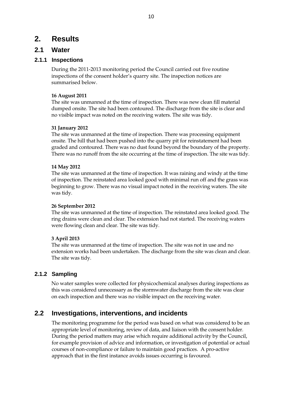## **2. Results**

### **2.1 Water**

#### **2.1.1 Inspections**

During the 2011-2013 monitoring period the Council carried out five routine inspections of the consent holder's quarry site. The inspection notices are summarised below.

#### **16 August 2011**

The site was unmanned at the time of inspection. There was new clean fill material dumped onsite. The site had been contoured. The discharge from the site is clear and no visible impact was noted on the receiving waters. The site was tidy.

#### **31 January 2012**

The site was unmanned at the time of inspection. There was processing equipment onsite. The hill that had been pushed into the quarry pit for reinstatement had been graded and contoured. There was no dust found beyond the boundary of the property. There was no runoff from the site occurring at the time of inspection. The site was tidy.

#### **14 May 2012**

The site was unmanned at the time of inspection. It was raining and windy at the time of inspection. The reinstated area looked good with minimal run off and the grass was beginning to grow. There was no visual impact noted in the receiving waters. The site was tidy.

#### **26 September 2012**

The site was unmanned at the time of inspection. The reinstated area looked good. The ring drains were clean and clear. The extension had not started. The receiving waters were flowing clean and clear. The site was tidy.

#### **3 April 2013**

The site was unmanned at the time of inspection. The site was not in use and no extension works had been undertaken. The discharge from the site was clean and clear. The site was tidy.

#### **2.1.2 Sampling**

No water samples were collected for physicochemical analyses during inspections as this was considered unnecessary as the stormwater discharge from the site was clear on each inspection and there was no visible impact on the receiving water.

## **2.2 Investigations, interventions, and incidents**

The monitoring programme for the period was based on what was considered to be an appropriate level of monitoring, review of data, and liaison with the consent holder. During the period matters may arise which require additional activity by the Council, for example provision of advice and information, or investigation of potential or actual courses of non-compliance or failure to maintain good practices. A pro-active approach that in the first instance avoids issues occurring is favoured.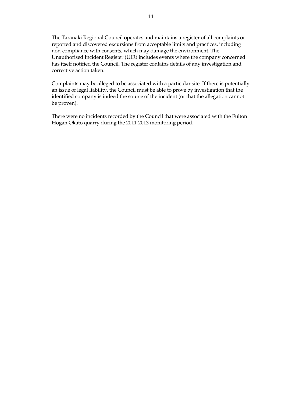The Taranaki Regional Council operates and maintains a register of all complaints or reported and discovered excursions from acceptable limits and practices, including non-compliance with consents, which may damage the environment. The Unauthorised Incident Register (UIR) includes events where the company concerned has itself notified the Council. The register contains details of any investigation and corrective action taken.

Complaints may be alleged to be associated with a particular site. If there is potentially an issue of legal liability, the Council must be able to prove by investigation that the identified company is indeed the source of the incident (or that the allegation cannot be proven).

There were no incidents recorded by the Council that were associated with the Fulton Hogan Okato quarry during the 2011-2013 monitoring period.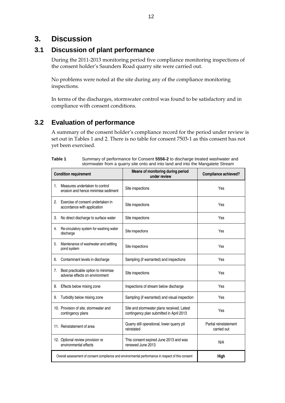## **3. Discussion**

## **3.1 Discussion of plant performance**

During the 2011-2013 monitoring period five compliance monitoring inspections of the consent holder's Saunders Road quarry site were carried out.

No problems were noted at the site during any of the compliance monitoring inspections.

In terms of the discharges, stormwater control was found to be satisfactory and in compliance with consent conditions.

## **3.2 Evaluation of performance**

A summary of the consent holder's compliance record for the period under review is set out in Tables 1 and 2. There is no table for consent 7503-1 as this consent has not yet been exercised.

| Table 1 | Summary of performance for Consent 5556-2 to discharge treated washwater and   |
|---------|--------------------------------------------------------------------------------|
|         | stormwater from a quarry site onto and into land and into the Mangatete Stream |

|    | <b>Condition requirement</b>                                                                      | Means of monitoring during period<br>under review                                      | <b>Compliance achieved?</b>          |
|----|---------------------------------------------------------------------------------------------------|----------------------------------------------------------------------------------------|--------------------------------------|
| 1. | Measures undertaken to control<br>erosion and hence minimise sediment                             | Site inspections                                                                       | Yes                                  |
| 2. | Exercise of consent undertaken in<br>accordance with application                                  | Site inspections                                                                       | Yes                                  |
| 3. | No direct discharge to surface water                                                              | Site inspections                                                                       | Yes                                  |
| 4. | Re-circulatory system for washing water<br>discharge                                              | Site inspections                                                                       | Yes                                  |
| 5. | Maintenance of washwater and settling<br>pond system                                              | Site inspections                                                                       | Yes                                  |
| 6. | Contaminant levels in discharge                                                                   | Sampling (if warranted) and inspections                                                | Yes                                  |
| 7. | Best practicable option to minimise<br>adverse effects on environment                             | Site inspections                                                                       | Yes                                  |
| 8. | Effects below mixing zone                                                                         | Inspections of stream below discharge                                                  | Yes                                  |
| 9. | Turbidity below mixing zone                                                                       | Sampling (if warranted) and visual inspection                                          | Yes                                  |
|    | 10. Provision of site, stormwater and<br>contingency plans                                        | Site and stormwater plans received. Latest<br>contingency plan submitted in April 2013 | Yes                                  |
|    | 11. Reinstatement of area                                                                         | Quarry still operational, lower quarry pit<br>reinstated                               | Partial reinstatement<br>carried out |
|    | 12. Optional review provision re<br>environmental effects                                         | This consent expired June 2013 and was<br>renewed June 2013                            | N/A                                  |
|    | Overall assessment of consent compliance and environmental performance in respect of this consent | High                                                                                   |                                      |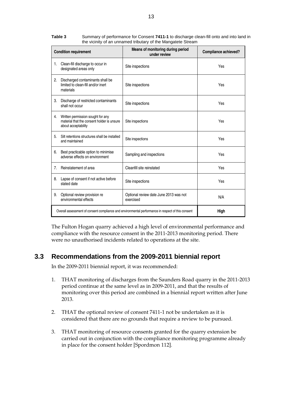|    | <b>Condition requirement</b>                                                                              | Means of monitoring during period<br>under review   | Compliance achieved? |  |
|----|-----------------------------------------------------------------------------------------------------------|-----------------------------------------------------|----------------------|--|
| 1. | Clean-fill discharge to occur in<br>designated areas only                                                 | Site inspections                                    | Yes                  |  |
| 2. | Discharged contaminants shall be<br>limited to clean-fill and/or inert<br>materials                       | Site inspections                                    | Yes                  |  |
| 3. | Discharge of restricted contaminants<br>shall not occur                                                   | Site inspections                                    | Yes                  |  |
| 4. | Written permission sought for any<br>material that the consent holder is unsure<br>about acceptability    | Site inspections                                    | Yes                  |  |
| 5. | Silt retentions structures shall be installed<br>and maintained                                           | Site inspections                                    | Yes                  |  |
| 6. | Best practicable option to minimise<br>adverse effects on environment                                     | Sampling and inspections                            | Yes                  |  |
| 7. | Reinstatement of area                                                                                     | Cleanfill site reinstated                           | Yes                  |  |
| 8. | Lapse of consent if not active before<br>stated date                                                      | Site inspections                                    | Yes                  |  |
| 9. | Optional review provision re<br>environmental effects                                                     | Optional review date June 2013 was not<br>exercised | N/A                  |  |
|    | Overall assessment of consent compliance and environmental performance in respect of this consent<br>High |                                                     |                      |  |

**Table 3** Summary of performance for Consent **7411-1** to discharge clean-fill onto and into land in the vicinity of an unnamed tributary of the Mangatete Stream

The Fulton Hogan quarry achieved a high level of environmental performance and compliance with the resource consent in the 2011-2013 monitoring period. There were no unauthorised incidents related to operations at the site.

## **3.3 Recommendations from the 2009-2011 biennial report**

In the 2009-2011 biennial report, it was recommended:

- 1. THAT monitoring of discharges from the Saunders Road quarry in the 2011-2013 period continue at the same level as in 2009-2011, and that the results of monitoring over this period are combined in a biennial report written after June 2013.
- 2. THAT the optional review of consent 7411-1 not be undertaken as it is considered that there are no grounds that require a review to be pursued.
- 3. THAT monitoring of resource consents granted for the quarry extension be carried out in conjunction with the compliance monitoring programme already in place for the consent holder [Spordmon 112].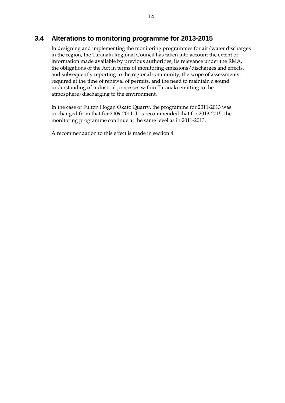## **3.4 Alterations to monitoring programme for 2013-2015**

In designing and implementing the monitoring programmes for air/water discharges in the region, the Taranaki Regional Council has taken into account the extent of information made available by previous authorities, its relevance under the RMA, the obligations of the Act in terms of monitoring emissions/discharges and effects, and subsequently reporting to the regional community, the scope of assessments required at the time of renewal of permits, and the need to maintain a sound understanding of industrial processes within Taranaki emitting to the atmosphere/discharging to the environment.

In the case of Fulton Hogan Okato Quarry, the programme for 2011-2013 was unchanged from that for 2009-2011. It is recommended that for 2013-2015, the monitoring programme continue at the same level as in 2011-2013.

A recommendation to this effect is made in section 4.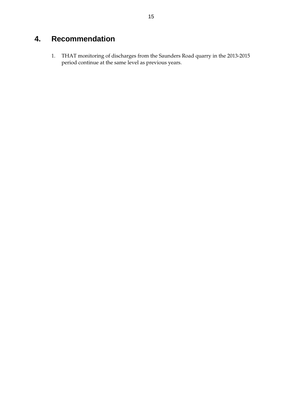# **4. Recommendation**

1. THAT monitoring of discharges from the Saunders Road quarry in the 2013-2015 period continue at the same level as previous years.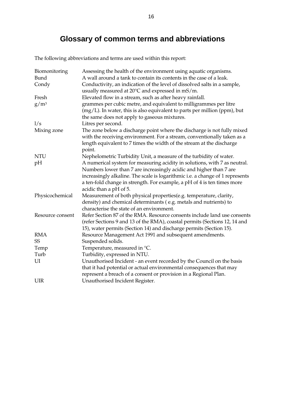# **Glossary of common terms and abbreviations**

The following abbreviations and terms are used within this report:

| Biomonitoring<br>Bund | Assessing the health of the environment using aquatic organisms.<br>A wall around a tank to contain its contents in the case of a leak.                                                                                     |
|-----------------------|-----------------------------------------------------------------------------------------------------------------------------------------------------------------------------------------------------------------------------|
| Condy                 | Conductivity, an indication of the level of dissolved salts in a sample,<br>usually measured at $20^{\circ}$ C and expressed in mS/m.                                                                                       |
| Fresh                 | Elevated flow in a stream, such as after heavy rainfall.                                                                                                                                                                    |
| $g/m^3$               | grammes per cubic metre, and equivalent to milligrammes per litre                                                                                                                                                           |
|                       | $(mg/L)$ . In water, this is also equivalent to parts per million (ppm), but                                                                                                                                                |
|                       | the same does not apply to gaseous mixtures.                                                                                                                                                                                |
| 1/s                   | Litres per second.                                                                                                                                                                                                          |
| Mixing zone           | The zone below a discharge point where the discharge is not fully mixed<br>with the receiving environment. For a stream, conventionally taken as a<br>length equivalent to 7 times the width of the stream at the discharge |
|                       | point.                                                                                                                                                                                                                      |
| <b>NTU</b>            | Nephelometric Turbidity Unit, a measure of the turbidity of water.                                                                                                                                                          |
| pH                    | A numerical system for measuring acidity in solutions, with 7 as neutral.                                                                                                                                                   |
|                       | Numbers lower than 7 are increasingly acidic and higher than 7 are<br>increasingly alkaline. The scale is logarithmic i.e. a change of 1 represents                                                                         |
|                       | a ten-fold change in strength. For example, a pH of 4 is ten times more<br>acidic than a pH of 5.                                                                                                                           |
| Physicochemical       | Measurement of both physical properties(e.g. temperature, clarity,                                                                                                                                                          |
|                       | density) and chemical determinants (e.g. metals and nutrients) to                                                                                                                                                           |
|                       | characterise the state of an environment.                                                                                                                                                                                   |
| Resource consent      | Refer Section 87 of the RMA. Resource consents include land use consents                                                                                                                                                    |
|                       | (refer Sections 9 and 13 of the RMA), coastal permits (Sections 12, 14 and                                                                                                                                                  |
|                       | 15), water permits (Section 14) and discharge permits (Section 15).                                                                                                                                                         |
| <b>RMA</b>            | Resource Management Act 1991 and subsequent amendments.                                                                                                                                                                     |
| SS                    | Suspended solids.                                                                                                                                                                                                           |
| Temp                  | Temperature, measured in °C.                                                                                                                                                                                                |
| Turb                  | Turbidity, expressed in NTU.                                                                                                                                                                                                |
| UI                    | Unauthorised Incident - an event recorded by the Council on the basis                                                                                                                                                       |
|                       | that it had potential or actual environmental consequences that may                                                                                                                                                         |
|                       | represent a breach of a consent or provision in a Regional Plan.                                                                                                                                                            |
| <b>UIR</b>            | Unauthorised Incident Register.                                                                                                                                                                                             |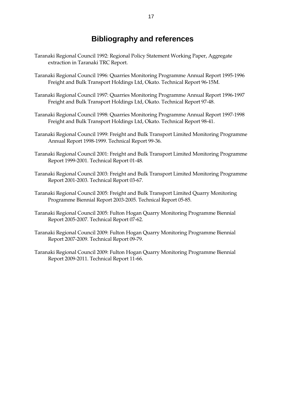## **Bibliography and references**

- Taranaki Regional Council 1992: Regional Policy Statement Working Paper, Aggregate extraction in Taranaki TRC Report.
- Taranaki Regional Council 1996: Quarries Monitoring Programme Annual Report 1995-1996 Freight and Bulk Transport Holdings Ltd, Okato. Technical Report 96-15M.
- Taranaki Regional Council 1997: Quarries Monitoring Programme Annual Report 1996-1997 Freight and Bulk Transport Holdings Ltd, Okato. Technical Report 97-48.
- Taranaki Regional Council 1998: Quarries Monitoring Programme Annual Report 1997-1998 Freight and Bulk Transport Holdings Ltd, Okato. Technical Report 98-41.
- Taranaki Regional Council 1999: Freight and Bulk Transport Limited Monitoring Programme Annual Report 1998-1999. Technical Report 99-36.
- Taranaki Regional Council 2001: Freight and Bulk Transport Limited Monitoring Programme Report 1999-2001. Technical Report 01-48.
- Taranaki Regional Council 2003: Freight and Bulk Transport Limited Monitoring Programme Report 2001-2003. Technical Report 03-67.
- Taranaki Regional Council 2005: Freight and Bulk Transport Limited Quarry Monitoring Programme Biennial Report 2003-2005. Technical Report 05-85.
- Taranaki Regional Council 2005: Fulton Hogan Quarry Monitoring Programme Biennial Report 2005-2007. Technical Report 07-62.
- Taranaki Regional Council 2009: Fulton Hogan Quarry Monitoring Programme Biennial Report 2007-2009. Technical Report 09-79.
- Taranaki Regional Council 2009: Fulton Hogan Quarry Monitoring Programme Biennial Report 2009-2011. Technical Report 11-66.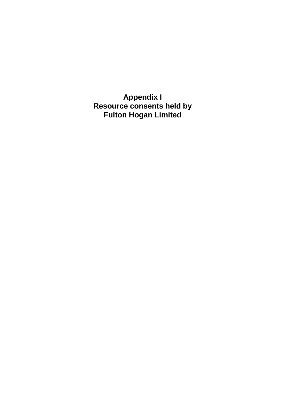**Appendix I Resource consents held by Fulton Hogan Limited**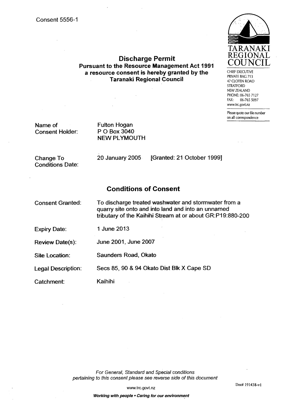www.trc.govt.nz

Working with people . Caring for our environment

For General, Standard and Special conditions pertaining to this consent please see reverse side of this document

1 June 2013 **Expiry Date:** June 2001, June 2007

Site Location: Saunders Road, Okato

Secs 85, 90 & 94 Okato Dist Blk X Cape SD

Catchment: Kaihihi

**Discharge Permit Pursuant to the Resource Management Act 1991** a resource consent is hereby granted by the Taranaki Regional Council



CHIEF EXECUTIVE PRIVATE BAG 713 47 CLOTEN ROAD **STRATFORD** NEW ZEALAND PHONE: 06-765 7127 FAX: 06-765 5097 www.trc.govt.nz

Please quote our file number on all correspondence

Change To

**Consent Holder:** 

**Conditions Date:** 

Name of

20 January 2005

Fulton Hogan

P O Box 3040 **NEW PLYMOUTH** 

[Granted: 21 October 1999]

## **Conditions of Consent**

To discharge treated washwater and stormwater from a **Consent Granted:** quarry site onto and into land and into an unnamed tributary of the Kaihihi Stream at or about GR:P19:880-200

Review Date(s):

**Legal Description:** 

Doc# 191438-v1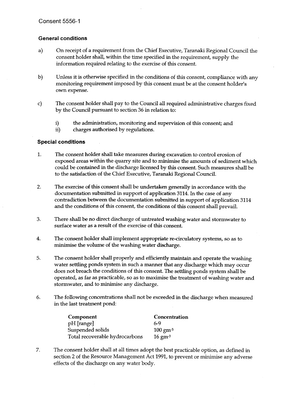#### **General conditions**

- $a)$ On receipt of a requirement from the Chief Executive, Taranaki Regional Council the consent holder shall, within the time specified in the requirement, supply the information required relating to the exercise of this consent.
- $b)$ Unless it is otherwise specified in the conditions of this consent, compliance with any monitoring requirement imposed by this consent must be at the consent holder's own expense.
- The consent holder shall pay to the Council all required administrative charges fixed  $\mathbf{c})$ by the Council pursuant to section 36 in relation to:
	- i) the administration, monitoring and supervision of this consent; and
	- ii) charges authorised by regulations.

#### **Special conditions**

- 1. The consent holder shall take measures during excavation to control erosion of exposed areas within the quarry site and to minimise the amounts of sediment which could be contained in the discharge licensed by this consent. Such measures shall be to the satisfaction of the Chief Executive, Taranaki Regional Council.
- The exercise of this consent shall be undertaken generally in accordance with the  $2.$ documentation submitted in support of application 3114. In the case of any contradiction between the documentation submitted in support of application 3114 and the conditions of this consent, the conditions of this consent shall prevail.
- There shall be no direct discharge of untreated washing water and stormwater to 3. surface water as a result of the exercise of this consent.
- The consent holder shall implement appropriate re-circulatory systems, so as to  $4.$ minimise the volume of the washing water discharge.
- The consent holder shall properly and efficiently maintain and operate the washing 5. water settling ponds system in such a manner that any discharge which may occur does not breach the conditions of this consent. The settling ponds system shall be operated, as far as practicable, so as to maximise the treatment of washing water and stormwater, and to minimise any discharge.
- 6. The following concentrations shall not be exceeded in the discharge when measured in the last treatment pond:

| Component                      | Concentration      |
|--------------------------------|--------------------|
| pH [range]                     | 6-9                |
| Suspended solids               | $100 \text{ gm}^3$ |
| Total recoverable hydrocarbons | $16 \text{ gm}^3$  |

 $7.$ The consent holder shall at all times adopt the best practicable option, as defined in section 2 of the Resource Management Act 1991, to prevent or minimise any adverse effects of the discharge on any water body.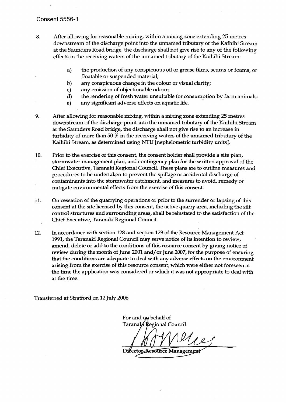- 8. After allowing for reasonable mixing, within a mixing zone extending 25 metres downstream of the discharge point into the unnamed tributary of the Kaihihi Stream at the Saunders Road bridge, the discharge shall not give rise to any of the following effects in the receiving waters of the unnamed tributary of the Kaihihi Stream:
	- the production of any conspicuous oil or grease films, scums or foams, or  $a)$ floatable or suspended material;
	- any conspicuous change in the colour or visual clarity;  $\mathbf{b}$
	- $\mathbf{c}$ any emission of objectionable odour;
	- $\mathbf{d}$ the rendering of fresh water unsuitable for consumption by farm animals;
	- any significant adverse effects on aquatic life.  $\mathbf{e}$
- 9. After allowing for reasonable mixing, within a mixing zone extending 25 metres downstream of the discharge point into the unnamed tributary of the Kaihihi Stream at the Saunders Road bridge, the discharge shall not give rise to an increase in turbidity of more than 50 % in the receiving waters of the unnamed tributary of the Kaihihi Stream, as determined using NTU [nephelometric turbidity units].
- Prior to the exercise of this consent, the consent holder shall provide a site plan, 10. stormwater management plan, and contingency plan for the written approval of the Chief Executive, Taranaki Regional Council. These plans are to outline measures and procedures to be undertaken to prevent the spillage or accidental discharge of contaminants into the stormwater catchment, and measures to avoid, remedy or mitigate environmental effects from the exercise of this consent.
- On cessation of the quarrying operations or prior to the surrender or lapsing of this 11. consent at the site licensed by this consent, the active quarry area, including the silt control structures and surrounding areas, shall be reinstated to the satisfaction of the Chief Executive, Taranaki Regional Council.
- In accordance with section 128 and section 129 of the Resource Management Act 12. 1991, the Taranaki Regional Council may serve notice of its intention to review, amend, delete or add to the conditions of this resource consent by giving notice of review during the month of June 2001 and/or June 2007, for the purpose of ensuring that the conditions are adequate to deal with any adverse effects on the environment arising from the exercise of this resource consent, which were either not foreseen at the time the application was considered or which it was not appropriate to deal with at the time.

Transferred at Stratford on 12 July 2006

For and on behalf of Taranak Regional Council  $\prime$  e Director-Resource Management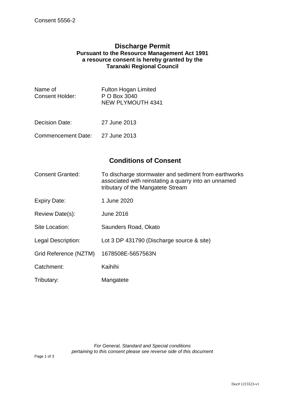Name of

### **Discharge Permit Pursuant to the Resource Management Act 1991 a resource consent is hereby granted by the Taranaki Regional Council**

Fulton Hogan Limited

| <b>Consent Holder:</b>          | P O Box 3040<br><b>NEW PLYMOUTH 4341</b>                                                                                                          |
|---------------------------------|---------------------------------------------------------------------------------------------------------------------------------------------------|
| <b>Decision Date:</b>           | 27 June 2013                                                                                                                                      |
| Commencement Date: 27 June 2013 |                                                                                                                                                   |
|                                 | <b>Conditions of Consent</b>                                                                                                                      |
| <b>Consent Granted:</b>         | To discharge stormwater and sediment from earthworks<br>associated with reinstating a quarry into an unnamed<br>tributary of the Mangatete Stream |
| <b>Expiry Date:</b>             | 1 June 2020                                                                                                                                       |
| Review Date(s):                 | <b>June 2016</b>                                                                                                                                  |
| Site Location:                  | Saunders Road, Okato                                                                                                                              |
| Legal Description:              | Lot 3 DP 431790 (Discharge source & site)                                                                                                         |
| Grid Reference (NZTM)           | 1678508E-5657563N                                                                                                                                 |
| Catchment:                      | Kaihihi                                                                                                                                           |
| Tributary:                      | Mangatete                                                                                                                                         |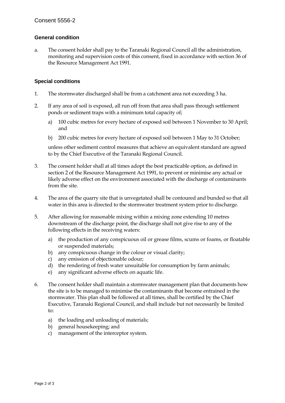#### **General condition**

a. The consent holder shall pay to the Taranaki Regional Council all the administration, monitoring and supervision costs of this consent, fixed in accordance with section 36 of the Resource Management Act 1991.

#### **Special conditions**

- 1. The stormwater discharged shall be from a catchment area not exceeding 3 ha.
- 2. If any area of soil is exposed, all run off from that area shall pass through settlement ponds or sediment traps with a minimum total capacity of;
	- a) 100 cubic metres for every hectare of exposed soil between 1 November to 30 April; and
	- b) 200 cubic metres for every hectare of exposed soil between 1 May to 31 October;

unless other sediment control measures that achieve an equivalent standard are agreed to by the Chief Executive of the Taranaki Regional Council.

- 3. The consent holder shall at all times adopt the best practicable option, as defined in section 2 of the Resource Management Act 1991, to prevent or minimise any actual or likely adverse effect on the environment associated with the discharge of contaminants from the site.
- 4. The area of the quarry site that is unvegetated shall be contoured and bunded so that all water in this area is directed to the stormwater treatment system prior to discharge.
- 5. After allowing for reasonable mixing within a mixing zone extending 10 metres downstream of the discharge point, the discharge shall not give rise to any of the following effects in the receiving waters:
	- a) the production of any conspicuous oil or grease films, scums or foams, or floatable or suspended materials;
	- b) any conspicuous change in the colour or visual clarity;
	- c) any emission of objectionable odour;
	- d) the rendering of fresh water unsuitable for consumption by farm animals;
	- e) any significant adverse effects on aquatic life.
- 6. The consent holder shall maintain a stormwater management plan that documents how the site is to be managed to minimise the contaminants that become entrained in the stormwater. This plan shall be followed at all times, shall be certified by the Chief Executive, Taranaki Regional Council, and shall include but not necessarily be limited to:
	- a) the loading and unloading of materials;
	- b) general housekeeping; and
	- c) management of the interceptor system.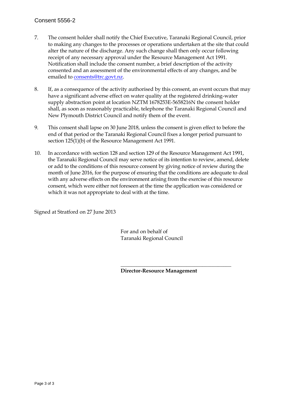#### Consent 5556-2

- 7. The consent holder shall notify the Chief Executive, Taranaki Regional Council, prior to making any changes to the processes or operations undertaken at the site that could alter the nature of the discharge. Any such change shall then only occur following receipt of any necessary approval under the Resource Management Act 1991. Notification shall include the consent number, a brief description of the activity consented and an assessment of the environmental effects of any changes, and be emailed to consents@trc.govt.nz.
- 8. If, as a consequence of the activity authorised by this consent, an event occurs that may have a significant adverse effect on water quality at the registered drinking-water supply abstraction point at location NZTM 1678253E-5658216N the consent holder shall, as soon as reasonably practicable, telephone the Taranaki Regional Council and New Plymouth District Council and notify them of the event.
- 9. This consent shall lapse on 30 June 2018, unless the consent is given effect to before the end of that period or the Taranaki Regional Council fixes a longer period pursuant to section 125(1)(b) of the Resource Management Act 1991.
- 10. In accordance with section 128 and section 129 of the Resource Management Act 1991, the Taranaki Regional Council may serve notice of its intention to review, amend, delete or add to the conditions of this resource consent by giving notice of review during the month of June 2016, for the purpose of ensuring that the conditions are adequate to deal with any adverse effects on the environment arising from the exercise of this resource consent, which were either not foreseen at the time the application was considered or which it was not appropriate to deal with at the time.

Signed at Stratford on 27 June 2013

 For and on behalf of Taranaki Regional Council

 $\overline{\phantom{a}}$  , which is a set of the contract of the contract of the contract of the contract of the contract of the contract of the contract of the contract of the contract of the contract of the contract of the contract

**Director-Resource Management**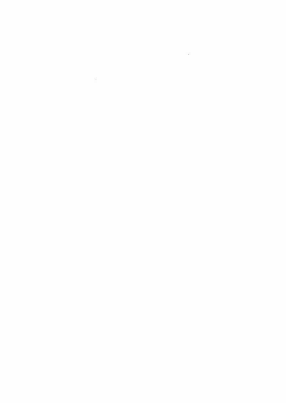$\label{eq:1.1} \begin{array}{ll} \widetilde{\mathbf{p}}_{1} & \cdots & \widetilde{\mathbf{p}}_{n} \end{array}$ 

 $\sim 10^{11}$  m  $^{-1}$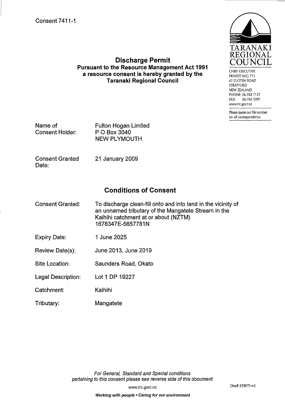

CHIEF EXECUTIVE PRIVATE BAG 713 47 CLOTEN ROAD **STRATFORD** NEW ZEALAND PHONE: 06-765 7127 FAX: 06-765 5097 www.trc.govt.nz

Please quote our file number on all correspondence

Name of **Consent Holder:**  **Fulton Hogan Limited** P O Box 3040 **NEW PLYMOUTH** 

**Consent Granted** Date:

21 January 2009

## **Conditions of Consent**

**Discharge Permit** 

**Pursuant to the Resource Management Act 1991** 

a resource consent is hereby granted by the

**Taranaki Regional Council** 

**Consent Granted:** To discharge clean-fill onto and into land in the vicinity of an unnamed tributary of the Mangatete Stream in the Kaihihi catchment at or about (NZTM) 1678347E-5657781N

- **Expiry Date:** 1 June 2025
- Review Date(s): June 2013, June 2019

Site Location: Saunders Road, Okato

**Legal Description:** Lot 1 DP 19227

Catchment: Kaihihi

Tributary: Mangatete

> For General, Standard and Special conditions pertaining to this consent please see reverse side of this document

Working with people . Caring for our environment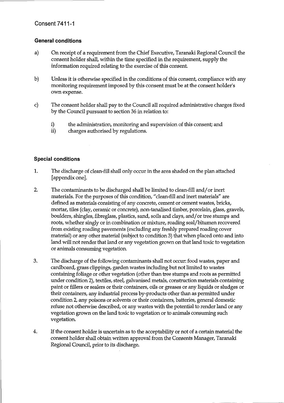#### **General conditions**

- a) On receipt of a requirement from the Chief Executive, Taranaki Regional Council the consent holder shall, within the time specified in the requirement, supply the information required relating to the exercise of this consent.
- $b)$ Unless it is otherwise specified in the conditions of this consent, compliance with any monitoring requirement imposed by this consent must be at the consent holder's own expense.
- $c)$ The consent holder shall pay to the Council all required administrative charges fixed by the Council pursuant to section 36 in relation to:
	- $i)$ the administration, monitoring and supervision of this consent; and
	- $ii)$ charges authorised by regulations.

#### **Special conditions**

- 1. The discharge of clean-fill shall only occur in the area shaded on the plan attached [appendix one].
- $\overline{2}$ . The contaminants to be discharged shall be limited to clean-fill and/or inert materials. For the purposes of this condition, "clean-fill and inert materials" are defined as materials consisting of any concrete, cement or cement wastes, bricks, mortar, tiles (clay, ceramic or concrete), non-tanalised timber, porcelain, glass, gravels, boulders, shingles, fibreglass, plastics, sand, soils and clays, and/or tree stumps and roots, whether singly or in combination or mixture, roading seal/bitumen recovered from existing roading pavements (excluding any freshly prepared roading cover material) or any other material (subject to condition 3) that when placed onto and into land will not render that land or any vegetation grown on that land toxic to vegetation or animals consuming vegetation.
- 3. The discharge of the following contaminants shall not occur: food wastes, paper and cardboard, grass clippings, garden wastes including but not limited to wastes containing foliage or other vegetation (other than tree stumps and roots as permitted under condition 2), textiles, steel, galvanised metals, construction materials containing paint or fillers or sealers or their containers, oils or greases or any liquids or sludges or their containers, any industrial process by-products other than as permitted under condition 2, any poisons or solvents or their containers, batteries, general domestic refuse not otherwise described, or any wastes with the potential to render land or any vegetation grown on the land toxic to vegetation or to animals consuming such vegetation.
- 4. If the consent holder is uncertain as to the acceptability or not of a certain material the consent holder shall obtain written approval from the Consents Manager, Taranaki Regional Council, prior to its discharge.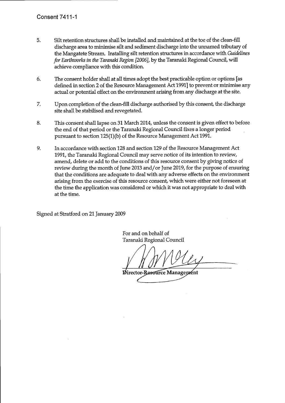- 5. Silt retention structures shall be installed and maintained at the toe of the clean-fill discharge area to minimise silt and sediment discharge into the unnamed tributary of the Mangatete Stream. Installing silt retention structures in accordance with Guidelines for Earthworks in the Taranaki Region [2006], by the Taranaki Regional Council, will achieve compliance with this condition.
- 6. The consent holder shall at all times adopt the best practicable option or options [as defined in section 2 of the Resource Management Act 1991] to prevent or minimise any actual or potential effect on the environment arising from any discharge at the site.
- Upon completion of the clean-fill discharge authorised by this consent, the discharge 7. site shall be stabilised and revegetated.
- 8. This consent shall lapse on 31 March 2014, unless the consent is given effect to before the end of that period or the Taranaki Regional Council fixes a longer period pursuant to section 125(1)(b) of the Resource Management Act 1991.
- 9. In accordance with section 128 and section 129 of the Resource Management Act 1991, the Taranaki Regional Council may serve notice of its intention to review, amend, delete or add to the conditions of this resource consent by giving notice of review during the month of June 2013 and/or June 2019, for the purpose of ensuring that the conditions are adequate to deal with any adverse effects on the environment arising from the exercise of this resource consent, which were either not foreseen at the time the application was considered or which it was not appropriate to deal with at the time.

Signed at Stratford on 21 January 2009

For and on behalf of Taranaki Regional Council

Director-Resource Management